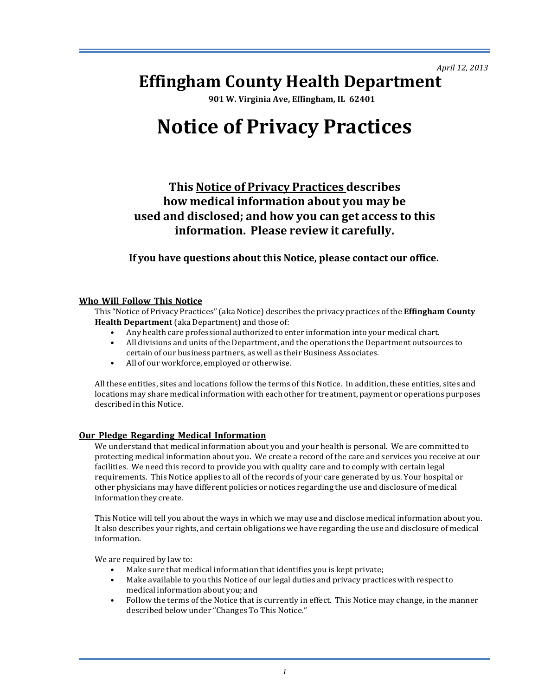*April 12, 2013*

## **Effingham County Health Department**

**901 W. Virginia Ave, Effingham, IL 62401**

# **Notice of Privacy Practices**

**This Notice of Privacy Practices describes how medical information about you may be used and disclosed; and how you can get access to this information. Please review it carefully.**

**If you have questions about this Notice, please contact our office.**

## **Who Will Follow This Notice**

This "Notice of Privacy Practices" (aka Notice) describes the privacy practices of the **Effingham County Health Department** (aka Department) and those of:

- Any health care professional authorized to enter information into your medical chart.
- All divisions and units of the Department, and the operations the Department outsources to certain of our business partners, as well as their Business Associates.
- All of our workforce, employed or otherwise.

All these entities, sites and locations follow the terms of this Notice. In addition, these entities, sites and locations may share medical information with each other for treatment, payment or operations purposes described in this Notice.

## **Our Pledge Regarding Medical Information**

We understand that medical information about you and your health is personal. We are committed to protecting medical information about you. We create a record of the care and services you receive at our facilities. We need this record to provide you with quality care and to comply with certain legal requirements. This Notice applies to all of the records of your care generated by us. Your hospital or other physicians may have different policies or notices regarding the use and disclosure of medical information they create.

This Notice will tell you about the ways in which we may use and disclose medical information about you. It also describes your rights, and certain obligations we have regarding the use and disclosure of medical information.

We are required by law to:

- Make sure that medical information that identifies you is kept private;
- Make available to you this Notice of our legal duties and privacy practices with respect to medical information about you; and
- Follow the terms of the Notice that is currently in effect. This Notice may change, in the manner described below under "Changes To This Notice."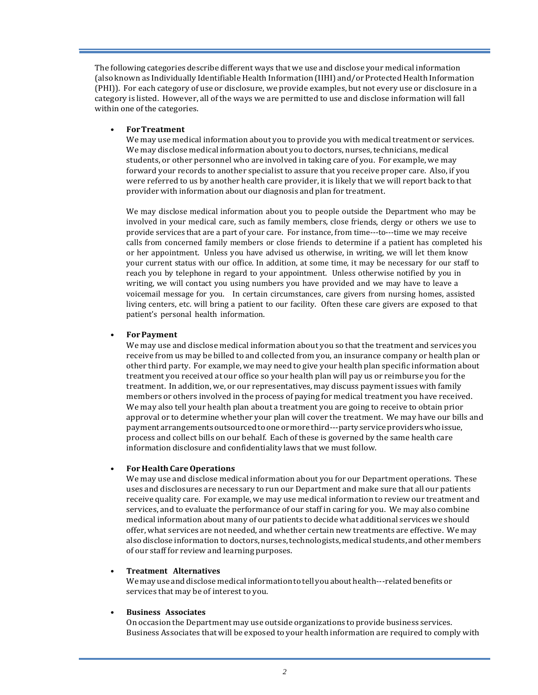The following categories describe different ways that we use and disclose your medical information (also known as Individually Identifiable Health Information (IIHI) and/or Protected Health Information (PHI)). For each category of use or disclosure, we provide examples, but not every use or disclosure in a category is listed. However, all of the ways we are permitted to use and disclose information will fall within one of the categories.

## • **ForTreatment**

We may use medical information about you to provide you with medical treatment or services. We may disclose medical information about you to doctors, nurses, technicians, medical students, or other personnel who are involved in taking care of you. For example, we may forward your records to another specialist to assure that you receive proper care. Also, if you were referred to us by another health care provider, it is likely that we will report back to that provider with information about our diagnosis and plan for treatment.

We may disclose medical information about you to people outside the Department who may be involved in your medical care, such as family members, close friends, clergy or others we use to provide services that are a part of your care. For instance, from time---to---time we may receive calls from concerned family members or close friends to determine if a patient has completed his or her appointment. Unless you have advised us otherwise, in writing, we will let them know your current status with our office. In addition, at some time, it may be necessary for our staff to reach you by telephone in regard to your appointment. Unless otherwise notified by you in writing, we will contact you using numbers you have provided and we may have to leave a voicemail message for you. In certain circumstances, care givers from nursing homes, assisted living centers, etc. will bring a patient to our facility. Often these care givers are exposed to that patient's personal health information.

## • **ForPayment**

We may use and disclose medical information about you so that the treatment and services you receive from us may be billed to and collected from you, an insurance company or health plan or other third party. For example, we may need to give your health plan specific information about treatment you received at our office so your health plan will pay us or reimburse you for the treatment. In addition, we, or our representatives, may discuss payment issues with family members or others involved in the process of paying for medical treatment you have received. We may also tell your health plan about a treatment you are going to receive to obtain prior approval or to determine whether your plan will cover the treatment. We may have our bills and payment arrangements outsourced to one or more third---party service providers who issue, process and collect bills on our behalf. Each of these is governed by the same health care information disclosure and confidentiality laws that we must follow.

## • **For Health CareOperations**

We may use and disclose medical information about you for our Department operations. These uses and disclosures are necessary to run our Department and make sure that all our patients receive quality care. For example, we may use medical information to review our treatment and services, and to evaluate the performance of our staff in caring for you. We may also combine medical information about many of our patients to decide what additional services we should offer, what services are not needed, and whether certain new treatments are effective. We may also disclose information to doctors, nurses, technologists, medical students, and other members of our staff for review and learning purposes.

## • **Treatment Alternatives**

We may use and disclose medical information to tell you about health---related benefits or services that may be of interest to you.

## • **Business Associates**

On occasion the Department may use outside organizations to provide business services. Business Associates that will be exposed to your health information are required to comply with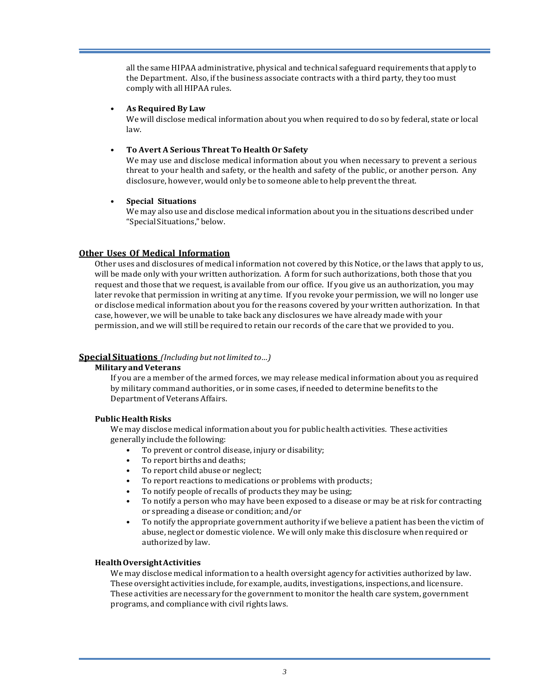all the same HIPAA administrative, physical and technical safeguard requirements that apply to the Department. Also, if the business associate contracts with a third party, they too must comply with all HIPAA rules.

### • **As Required By Law**

We will disclose medical information about you when required to do so by federal, state or local law.

## • **To Avert A Serious Threat To Health Or Safety**

We mav use and disclose medical information about you when necessary to prevent a serious threat to your health and safety, or the health and safety of the public, or another person. Any disclosure, however, would only be to someone able to help prevent the threat.

#### • **Special Situations**

We may also use and disclose medical information about you in the situations described under "Special Situations," below.

## **Other Uses Of Medical Information**

Other uses and disclosures of medical information not covered by this Notice, or the laws that apply to us, will be made only with your written authorization. A form for such authorizations, both those that you request and those that we request, is available from our office. If you give us an authorization, you may later revoke that permission in writing at any time. If you revoke your permission, we will no longer use or disclose medical information about you for the reasons covered by your written authorization. In that case, however, we will be unable to take back any disclosures we have already made with your permission, and we will still be required to retain our records of the care that we provided to you.

## **Special Situations** *(Including but notlimited to…)*

#### **Military andVeterans**

If you are a member of the armed forces, we may release medical information about you as required by military command authorities, or in some cases, if needed to determine benefits to the Department of Veterans Affairs.

#### **Public HealthRisks**

We may disclose medical information about you for public health activities. These activities generally include the following:

- To prevent or control disease, injury or disability;
- To report births and deaths;
- To report child abuse or neglect;
- To report reactions to medications or problems with products;
- To notify people of recalls of products they may be using;
- To notify a person who may have been exposed to a disease or may be at risk for contracting or spreading a disease or condition; and/or
- To notify the appropriate government authority if we believe a patient has been the victim of abuse, neglect or domestic violence. We will only make this disclosure when required or authorized by law.

#### **HealthOversightActivities**

We may disclose medical information to a health oversight agency for activities authorized by law. These oversight activities include, for example, audits, investigations, inspections, and licensure. These activities are necessary for the government to monitor the health care system, government programs, and compliance with civil rights laws.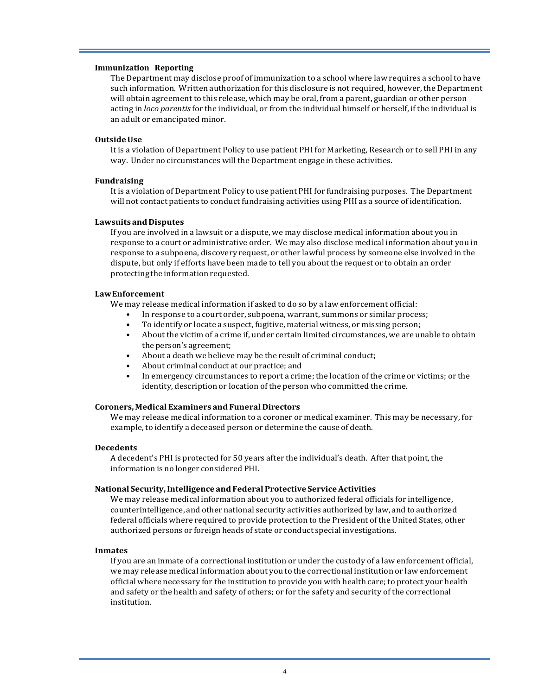#### **Immunization Reporting**

The Department may disclose proof of immunization to a school where law requires a school to have such information. Written authorization for this disclosure is not required, however, the Department will obtain agreement to this release, which may be oral, from a parent, guardian or other person acting in *loco* parentis for the individual, or from the individual himself or herself, if the individual is an adult or emancipated minor.

#### **OutsideUse**

It is a violation of Department Policy to use patient PHI for Marketing, Research or to sell PHI in any way. Under no circumstances will the Department engage in these activities.

#### **Fundraising**

It is a violation of Department Policy to use patient PHI for fundraising purposes. The Department will not contact patients to conduct fundraising activities using PHI as a source of identification.

#### **Lawsuits andDisputes**

If you are involved in a lawsuit or a dispute, we may disclose medical information about you in response to a court or administrative order. We may also disclose medical information about you in response to a subpoena, discovery request, or other lawful process by someone else involved in the dispute, but only if efforts have been made to tell you about the request or to obtain an order protecting the information requested.

#### **LawEnforcement**

We may release medical information if asked to do so by a law enforcement official:

- In response to a court order, subpoena, warrant, summons or similar process;
- To identify or locate a suspect, fugitive, material witness, or missing person;
- About the victim of a crime if, under certain limited circumstances, we are unable to obtain the person's agreement:
- About a death we believe may be the result of criminal conduct;
- About criminal conduct at our practice; and
- In emergency circumstances to report a crime; the location of the crime or victims; or the identity, description or location of the person who committed the crime.

#### **Coroners,Medical Examiners and Funeral Directors**

We may release medical information to a coroner or medical examiner. This may be necessary, for example, to identify a deceased person or determine the cause of death.

#### **Decedents**

A decedent's PHI is protected for 50 years after the individual's death. After that point, the information is no longer considered PHI.

#### **National Security,Intelligence and Federal Protective ServiceActivities**

We may release medical information about you to authorized federal officials for intelligence, counterintelligence, and other national security activities authorized by law, and to authorized federal officials where required to provide protection to the President of the United States, other authorized persons or foreign heads of state or conduct special investigations.

#### **Inmates**

If you are an inmate of a correctional institution or under the custody of a law enforcement official, we may release medical information about you to the correctional institution or law enforcement official where necessary for the institution to provide you with health care; to protect your health and safety or the health and safety of others; or for the safety and security of the correctional institution.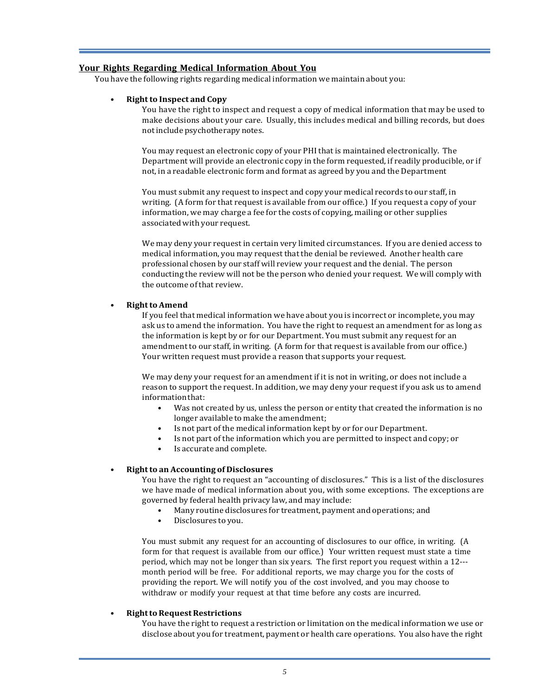## **Your Rights Regarding Medical Information About You**

You have the following rights regarding medical information we maintain about you:

#### • **Rightto Inspect and Copy**

You have the right to inspect and request a copy of medical information that may be used to make decisions about your care. Usually, this includes medical and billing records, but does not include psychotherapy notes.

You may request an electronic copy of your PHI that is maintained electronically. The Department will provide an electronic copy in the form requested, if readily producible, or if not, in a readable electronic form and format as agreed by you and the Department

You must submit any request to inspect and copy your medical records to our staff, in writing. (A form for that request is available from our office.) If you request a copy of your information, we may charge a fee for the costs of copying, mailing or other supplies associated with your request.

We may deny your request in certain very limited circumstances. If you are denied access to medical information, you may request that the denial be reviewed. Another health care professional chosen by our staff will review your request and the denial. The person conducting the review will not be the person who denied your request. We will comply with the outcome of that review.

#### **Right to Amend**

If you feel that medical information we have about you is incorrect or incomplete, you may ask us to amend the information. You have the right to request an amendment for as long as the information is kept by or for our Department. You must submit any request for an amendment to our staff, in writing. (A form for that request is available from our office.) Your written request must provide a reason that supports your request.

We may deny your request for an amendment if it is not in writing, or does not include a reason to support the request. In addition, we may deny your request if you ask us to amend information that:

- Was not created by us, unless the person or entity that created the information is no longer available to make the amendment;
- Is not part of the medical information kept by or for our Department.
- Is not part of the information which you are permitted to inspect and copy; or
- Is accurate and complete.

## • **Rightto an Accounting of Disclosures**

You have the right to request an "accounting of disclosures." This is a list of the disclosures we have made of medical information about you, with some exceptions. The exceptions are governed by federal health privacy law, and may include:

- Many routine disclosures for treatment, payment and operations; and
- Disclosures to you.

You must submit any request for an accounting of disclosures to our office, in writing. (A form for that request is available from our office.) Your written request must state a time period, which may not be longer than six years. The first report you request within a 12--month period will be free. For additional reports, we may charge you for the costs of providing the report. We will notify you of the cost involved, and you may choose to withdraw or modify your request at that time before any costs are incurred.

## **Right to Request Restrictions**

You have the right to request a restriction or limitation on the medical information we use or disclose about you for treatment, payment or health care operations. You also have the right